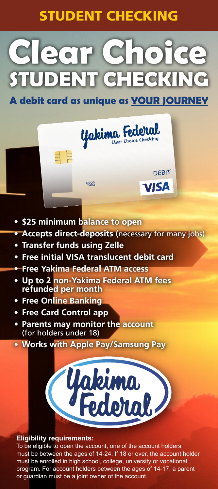# STUDENT CHECKING

# **Clear Choice**

# **A debit card as unique as YOUR JOURNEY**

yakima Federal

**DEBIT** 

**VISA** 

- **• \$25 minimum balance to open**
- **• Accepts direct-deposits** (necessary for many jobs)
- **• Transfer funds using Zelle**
- **• Free initial VISA translucent debit card**

GOOD<br>THRU

- **• Free Yakima Federal ATM access**
- **• Up to 2 non-Yakima Federal ATM fees refunded per month**
- **• Free Online Banking**
- **• Free Card Control app**
- **• Parents may monitor the account** (for holders under 18)
- **• Works with Apple Pay/Samsung Pay**



#### **Eligibility requirements:**

To be eligible to open the account, one of the account holders must be between the ages of 14-24. If 18 or over, the account holder must be enrolled in high school, college, university or vocational program. For account holders between the ages of 14-17, a parent or guardian must be a joint owner of the account.